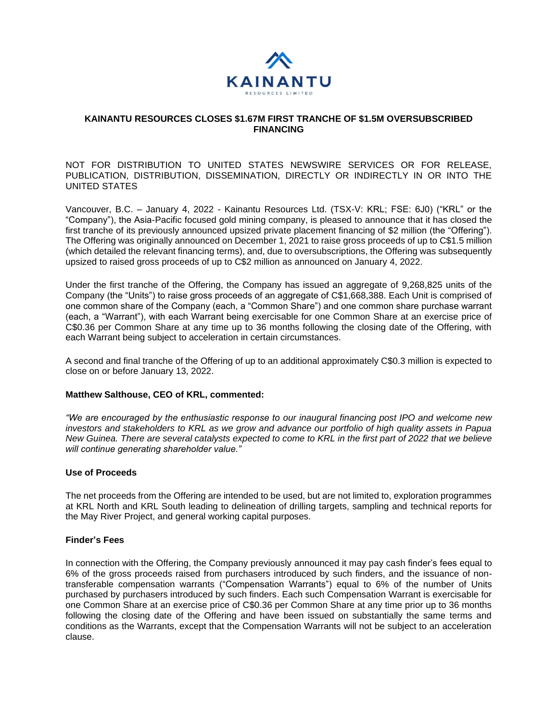

### **KAINANTU RESOURCES CLOSES \$1.67M FIRST TRANCHE OF \$1.5M OVERSUBSCRIBED FINANCING**

NOT FOR DISTRIBUTION TO UNITED STATES NEWSWIRE SERVICES OR FOR RELEASE, PUBLICATION, DISTRIBUTION, DISSEMINATION, DIRECTLY OR INDIRECTLY IN OR INTO THE UNITED STATES

Vancouver, B.C. – January 4, 2022 - Kainantu Resources Ltd. (TSX-V: KRL; FSE: 6J0) ("KRL" or the "Company"), the Asia-Pacific focused gold mining company, is pleased to announce that it has closed the first tranche of its previously announced upsized private placement financing of \$2 million (the "Offering"). The Offering was originally announced on December 1, 2021 to raise gross proceeds of up to C\$1.5 million (which detailed the relevant financing terms), and, due to oversubscriptions, the Offering was subsequently upsized to raised gross proceeds of up to C\$2 million as announced on January 4, 2022.

Under the first tranche of the Offering, the Company has issued an aggregate of 9,268,825 units of the Company (the "Units") to raise gross proceeds of an aggregate of C\$1,668,388. Each Unit is comprised of one common share of the Company (each, a "Common Share") and one common share purchase warrant (each, a "Warrant"), with each Warrant being exercisable for one Common Share at an exercise price of C\$0.36 per Common Share at any time up to 36 months following the closing date of the Offering, with each Warrant being subject to acceleration in certain circumstances.

A second and final tranche of the Offering of up to an additional approximately C\$0.3 million is expected to close on or before January 13, 2022.

#### **Matthew Salthouse, CEO of KRL, commented:**

*"We are encouraged by the enthusiastic response to our inaugural financing post IPO and welcome new investors and stakeholders to KRL as we grow and advance our portfolio of high quality assets in Papua New Guinea. There are several catalysts expected to come to KRL in the first part of 2022 that we believe will continue generating shareholder value."*

### **Use of Proceeds**

The net proceeds from the Offering are intended to be used, but are not limited to, exploration programmes at KRL North and KRL South leading to delineation of drilling targets, sampling and technical reports for the May River Project, and general working capital purposes.

# **Finder's Fees**

In connection with the Offering, the Company previously announced it may pay cash finder's fees equal to 6% of the gross proceeds raised from purchasers introduced by such finders, and the issuance of nontransferable compensation warrants ("Compensation Warrants") equal to 6% of the number of Units purchased by purchasers introduced by such finders. Each such Compensation Warrant is exercisable for one Common Share at an exercise price of C\$0.36 per Common Share at any time prior up to 36 months following the closing date of the Offering and have been issued on substantially the same terms and conditions as the Warrants, except that the Compensation Warrants will not be subject to an acceleration clause.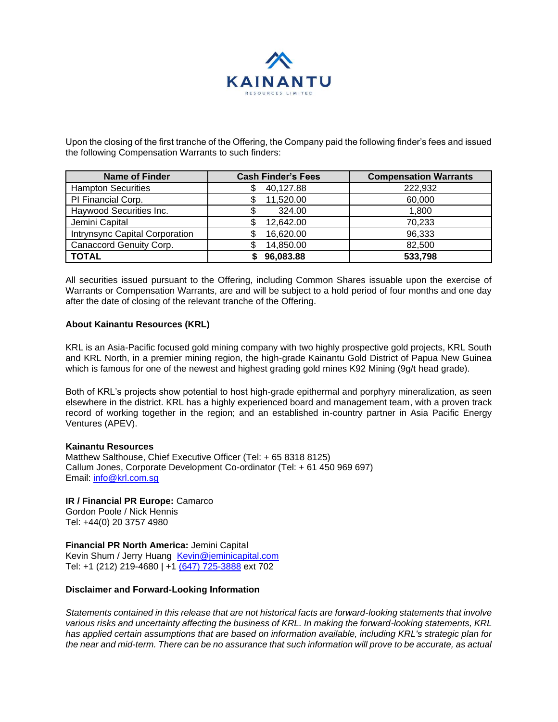

Upon the closing of the first tranche of the Offering, the Company paid the following finder's fees and issued the following Compensation Warrants to such finders:

| <b>Name of Finder</b>          | <b>Cash Finder's Fees</b> | <b>Compensation Warrants</b> |
|--------------------------------|---------------------------|------------------------------|
| <b>Hampton Securities</b>      | 40,127.88<br>S            | 222,932                      |
| PI Financial Corp.             | 11,520.00                 | 60,000                       |
| Haywood Securities Inc.        | 324.00                    | 1,800                        |
| Jemini Capital                 | 12,642.00                 | 70,233                       |
| Intrynsync Capital Corporation | 16,620.00                 | 96,333                       |
| Canaccord Genuity Corp.        | 14,850.00                 | 82,500                       |
| <b>TOTAL</b>                   | 96,083.88                 | 533,798                      |

All securities issued pursuant to the Offering, including Common Shares issuable upon the exercise of Warrants or Compensation Warrants, are and will be subject to a hold period of four months and one day after the date of closing of the relevant tranche of the Offering.

### **About Kainantu Resources (KRL)**

KRL is an Asia-Pacific focused gold mining company with two highly prospective gold projects, KRL South and KRL North, in a premier mining region, the high-grade Kainantu Gold District of Papua New Guinea which is famous for one of the newest and highest grading gold mines K92 Mining (9g/t head grade).

Both of KRL's projects show potential to host high-grade epithermal and porphyry mineralization, as seen elsewhere in the district. KRL has a highly experienced board and management team, with a proven track record of working together in the region; and an established in-country partner in Asia Pacific Energy Ventures (APEV).

# **Kainantu Resources**

Matthew Salthouse, Chief Executive Officer (Tel: + 65 8318 8125) Callum Jones, Corporate Development Co-ordinator (Tel: + 61 450 969 697) Email: [info@krl.com.sg](mailto:info@krl.com.sg)

# **IR / Financial PR Europe:** Camarco

Gordon Poole / Nick Hennis Tel: +44(0) 20 3757 4980

# **Financial PR North America:** Jemini Capital

Kevin Shum / Jerry Huang [Kevin@jeminicapital.com](mailto:Kevin@jeminicapital.com) Tel: +1 (212) 219-4680 | +1 [\(647\) 725-3888](tel:(647)%20725-3888) ext 702

# **Disclaimer and Forward-Looking Information**

*Statements contained in this release that are not historical facts are forward-looking statements that involve various risks and uncertainty affecting the business of KRL. In making the forward-looking statements, KRL has applied certain assumptions that are based on information available, including KRL's strategic plan for the near and mid-term. There can be no assurance that such information will prove to be accurate, as actual*